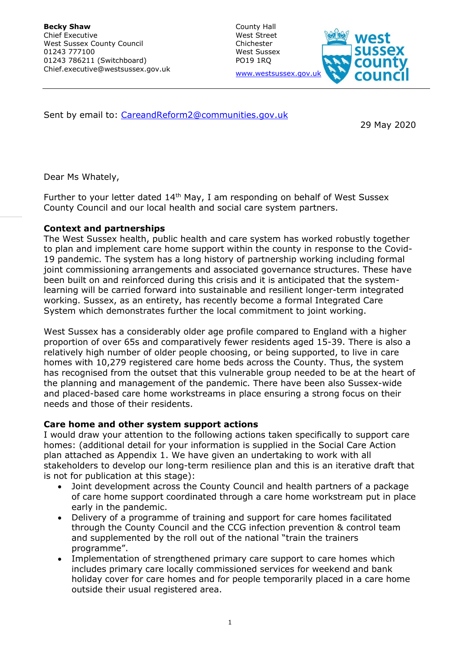County Hall West Street Chichester West Sussex PO19 1RQ www.westsussex.gov



Sent by email to: [CareandReform2@communities.gov.uk](mailto:CareandReform2@communities.gov.uk)

29 May 2020

Dear Ms Whately,

Further to your letter dated  $14<sup>th</sup>$  May, I am responding on behalf of West Sussex County Council and our local health and social care system partners.

# **Context and partnerships**

The West Sussex health, public health and care system has worked robustly together to plan and implement care home support within the county in response to the Covid-19 pandemic. The system has a long history of partnership working including formal joint commissioning arrangements and associated governance structures. These have been built on and reinforced during this crisis and it is anticipated that the systemlearning will be carried forward into sustainable and resilient longer-term integrated working. Sussex, as an entirety, has recently become a formal Integrated Care System which demonstrates further the local commitment to joint working.

West Sussex has a considerably older age profile compared to England with a higher proportion of over 65s and comparatively fewer residents aged 15-39. There is also a relatively high number of older people choosing, or being supported, to live in care homes with 10,279 registered care home beds across the County. Thus, the system has recognised from the outset that this vulnerable group needed to be at the heart of the planning and management of the pandemic. There have been also Sussex-wide and placed-based care home workstreams in place ensuring a strong focus on their needs and those of their residents.

#### **Care home and other system support actions**

I would draw your attention to the following actions taken specifically to support care homes: (additional detail for your information is supplied in the Social Care Action plan attached as Appendix 1. We have given an undertaking to work with all stakeholders to develop our long-term resilience plan and this is an iterative draft that is not for publication at this stage):

- Joint development across the County Council and health partners of a package of care home support coordinated through a care home workstream put in place early in the pandemic.
- Delivery of a programme of training and support for care homes facilitated through the County Council and the CCG infection prevention & control team and supplemented by the roll out of the national "train the trainers programme".
- Implementation of strengthened primary care support to care homes which includes primary care locally commissioned services for weekend and bank holiday cover for care homes and for people temporarily placed in a care home outside their usual registered area.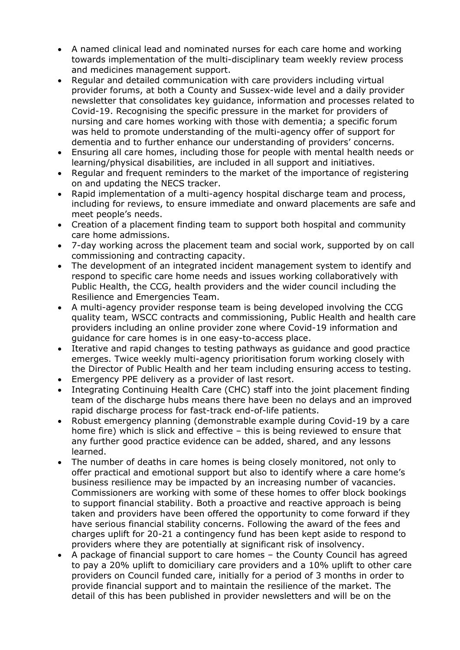- A named clinical lead and nominated nurses for each care home and working towards implementation of the multi-disciplinary team weekly review process and medicines management support.
- Regular and detailed communication with care providers including virtual provider forums, at both a County and Sussex-wide level and a daily provider newsletter that consolidates key guidance, information and processes related to Covid-19. Recognising the specific pressure in the market for providers of nursing and care homes working with those with dementia; a specific forum was held to promote understanding of the multi-agency offer of support for dementia and to further enhance our understanding of providers' concerns.
- Ensuring all care homes, including those for people with mental health needs or learning/physical disabilities, are included in all support and initiatives.
- Regular and frequent reminders to the market of the importance of registering on and updating the NECS tracker.
- Rapid implementation of a multi-agency hospital discharge team and process, including for reviews, to ensure immediate and onward placements are safe and meet people's needs.
- Creation of a placement finding team to support both hospital and community care home admissions.
- 7-day working across the placement team and social work, supported by on call commissioning and contracting capacity.
- The development of an integrated incident management system to identify and respond to specific care home needs and issues working collaboratively with Public Health, the CCG, health providers and the wider council including the Resilience and Emergencies Team.
- A multi-agency provider response team is being developed involving the CCG quality team, WSCC contracts and commissioning, Public Health and health care providers including an online provider zone where Covid-19 information and guidance for care homes is in one easy-to-access place.
- Iterative and rapid changes to testing pathways as guidance and good practice emerges. Twice weekly multi-agency prioritisation forum working closely with the Director of Public Health and her team including ensuring access to testing.
- Emergency PPE delivery as a provider of last resort.
- Integrating Continuing Health Care (CHC) staff into the joint placement finding team of the discharge hubs means there have been no delays and an improved rapid discharge process for fast-track end-of-life patients.
- Robust emergency planning (demonstrable example during Covid-19 by a care home fire) which is slick and effective – this is being reviewed to ensure that any further good practice evidence can be added, shared, and any lessons learned.
- The number of deaths in care homes is being closely monitored, not only to offer practical and emotional support but also to identify where a care home's business resilience may be impacted by an increasing number of vacancies. Commissioners are working with some of these homes to offer block bookings to support financial stability. Both a proactive and reactive approach is being taken and providers have been offered the opportunity to come forward if they have serious financial stability concerns. Following the award of the fees and charges uplift for 20-21 a contingency fund has been kept aside to respond to providers where they are potentially at significant risk of insolvency.
- A package of financial support to care homes the County Council has agreed to pay a 20% uplift to domiciliary care providers and a 10% uplift to other care providers on Council funded care, initially for a period of 3 months in order to provide financial support and to maintain the resilience of the market. The detail of this has been published in provider newsletters and will be on the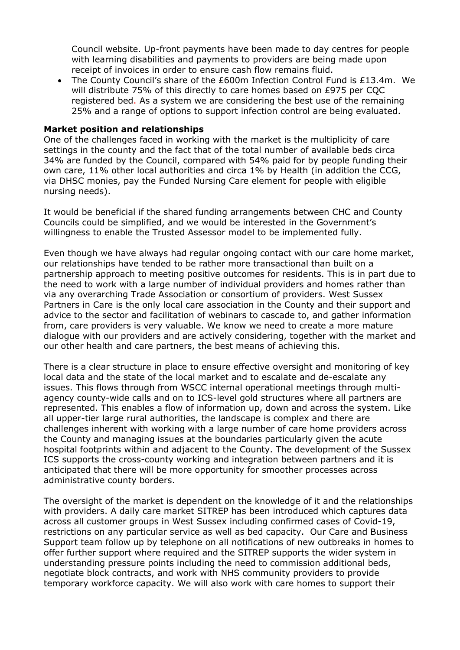Council website. Up-front payments have been made to day centres for people with learning disabilities and payments to providers are being made upon receipt of invoices in order to ensure cash flow remains fluid.

• The County Council's share of the £600m Infection Control Fund is £13.4m. We will distribute 75% of this directly to care homes based on £975 per CQC registered bed. As a system we are considering the best use of the remaining 25% and a range of options to support infection control are being evaluated.

### **Market position and relationships**

One of the challenges faced in working with the market is the multiplicity of care settings in the county and the fact that of the total number of available beds circa 34% are funded by the Council, compared with 54% paid for by people funding their own care, 11% other local authorities and circa 1% by Health (in addition the CCG, via DHSC monies, pay the Funded Nursing Care element for people with eligible nursing needs).

It would be beneficial if the shared funding arrangements between CHC and County Councils could be simplified, and we would be interested in the Government's willingness to enable the Trusted Assessor model to be implemented fully.

Even though we have always had regular ongoing contact with our care home market, our relationships have tended to be rather more transactional than built on a partnership approach to meeting positive outcomes for residents. This is in part due to the need to work with a large number of individual providers and homes rather than via any overarching Trade Association or consortium of providers. West Sussex Partners in Care is the only local care association in the County and their support and advice to the sector and facilitation of webinars to cascade to, and gather information from, care providers is very valuable. We know we need to create a more mature dialogue with our providers and are actively considering, together with the market and our other health and care partners, the best means of achieving this.

There is a clear structure in place to ensure effective oversight and monitoring of key local data and the state of the local market and to escalate and de-escalate any issues. This flows through from WSCC internal operational meetings through multiagency county-wide calls and on to ICS-level gold structures where all partners are represented. This enables a flow of information up, down and across the system. Like all upper-tier large rural authorities, the landscape is complex and there are challenges inherent with working with a large number of care home providers across the County and managing issues at the boundaries particularly given the acute hospital footprints within and adjacent to the County. The development of the Sussex ICS supports the cross-county working and integration between partners and it is anticipated that there will be more opportunity for smoother processes across administrative county borders.

The oversight of the market is dependent on the knowledge of it and the relationships with providers. A daily care market SITREP has been introduced which captures data across all customer groups in West Sussex including confirmed cases of Covid-19, restrictions on any particular service as well as bed capacity. Our Care and Business Support team follow up by telephone on all notifications of new outbreaks in homes to offer further support where required and the SITREP supports the wider system in understanding pressure points including the need to commission additional beds, negotiate block contracts, and work with NHS community providers to provide temporary workforce capacity. We will also work with care homes to support their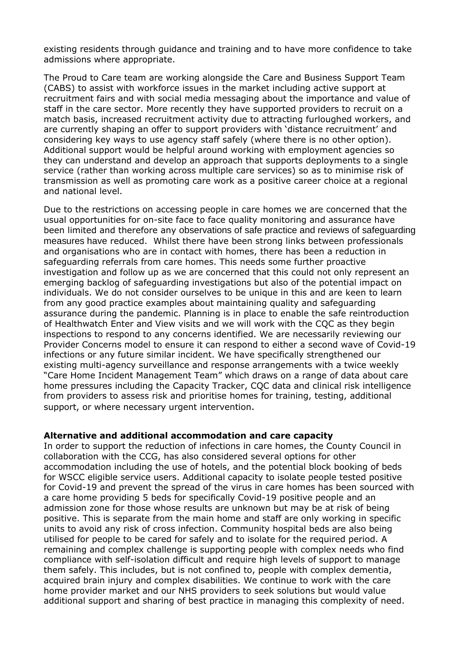existing residents through guidance and training and to have more confidence to take admissions where appropriate.

The Proud to Care team are working alongside the Care and Business Support Team (CABS) to assist with workforce issues in the market including active support at recruitment fairs and with social media messaging about the importance and value of staff in the care sector. More recently they have supported providers to recruit on a match basis, increased recruitment activity due to attracting furloughed workers, and are currently shaping an offer to support providers with 'distance recruitment' and considering key ways to use agency staff safely (where there is no other option). Additional support would be helpful around working with employment agencies so they can understand and develop an approach that supports deployments to a single service (rather than working across multiple care services) so as to minimise risk of transmission as well as promoting care work as a positive career choice at a regional and national level.

Due to the restrictions on accessing people in care homes we are concerned that the usual opportunities for on-site face to face quality monitoring and assurance have been limited and therefore any observations of safe practice and reviews of safeguarding measures have reduced. Whilst there have been strong links between professionals and organisations who are in contact with homes, there has been a reduction in safeguarding referrals from care homes. This needs some further proactive investigation and follow up as we are concerned that this could not only represent an emerging backlog of safeguarding investigations but also of the potential impact on individuals. We do not consider ourselves to be unique in this and are keen to learn from any good practice examples about maintaining quality and safeguarding assurance during the pandemic. Planning is in place to enable the safe reintroduction of Healthwatch Enter and View visits and we will work with the CQC as they begin inspections to respond to any concerns identified. We are necessarily reviewing our Provider Concerns model to ensure it can respond to either a second wave of Covid-19 infections or any future similar incident. We have specifically strengthened our existing multi-agency surveillance and response arrangements with a twice weekly "Care Home Incident Management Team" which draws on a range of data about care home pressures including the Capacity Tracker, CQC data and clinical risk intelligence from providers to assess risk and prioritise homes for training, testing, additional support, or where necessary urgent intervention.

#### **Alternative and additional accommodation and care capacity**

In order to support the reduction of infections in care homes, the County Council in collaboration with the CCG, has also considered several options for other accommodation including the use of hotels, and the potential block booking of beds for WSCC eligible service users. Additional capacity to isolate people tested positive for Covid-19 and prevent the spread of the virus in care homes has been sourced with a care home providing 5 beds for specifically Covid-19 positive people and an admission zone for those whose results are unknown but may be at risk of being positive. This is separate from the main home and staff are only working in specific units to avoid any risk of cross infection. Community hospital beds are also being utilised for people to be cared for safely and to isolate for the required period. A remaining and complex challenge is supporting people with complex needs who find compliance with self-isolation difficult and require high levels of support to manage them safely. This includes, but is not confined to, people with complex dementia, acquired brain injury and complex disabilities. We continue to work with the care home provider market and our NHS providers to seek solutions but would value additional support and sharing of best practice in managing this complexity of need.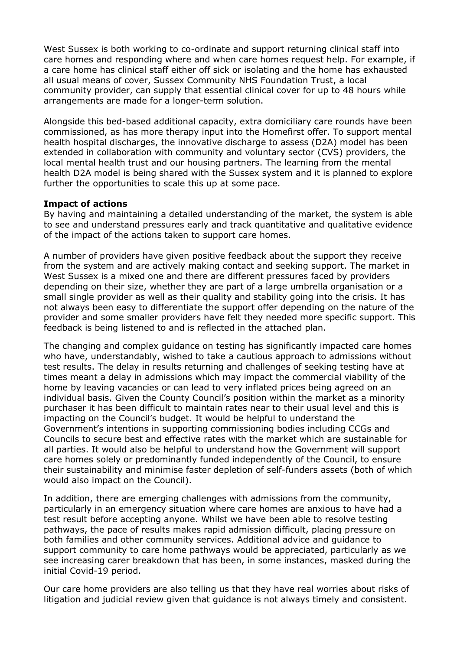West Sussex is both working to co-ordinate and support returning clinical staff into care homes and responding where and when care homes request help. For example, if a care home has clinical staff either off sick or isolating and the home has exhausted all usual means of cover, Sussex Community NHS Foundation Trust, a local community provider, can supply that essential clinical cover for up to 48 hours while arrangements are made for a longer-term solution.

Alongside this bed-based additional capacity, extra domiciliary care rounds have been commissioned, as has more therapy input into the Homefirst offer. To support mental health hospital discharges, the innovative discharge to assess (D2A) model has been extended in collaboration with community and voluntary sector (CVS) providers, the local mental health trust and our housing partners. The learning from the mental health D2A model is being shared with the Sussex system and it is planned to explore further the opportunities to scale this up at some pace.

#### **Impact of actions**

By having and maintaining a detailed understanding of the market, the system is able to see and understand pressures early and track quantitative and qualitative evidence of the impact of the actions taken to support care homes.

A number of providers have given positive feedback about the support they receive from the system and are actively making contact and seeking support. The market in West Sussex is a mixed one and there are different pressures faced by providers depending on their size, whether they are part of a large umbrella organisation or a small single provider as well as their quality and stability going into the crisis. It has not always been easy to differentiate the support offer depending on the nature of the provider and some smaller providers have felt they needed more specific support. This feedback is being listened to and is reflected in the attached plan.

The changing and complex guidance on testing has significantly impacted care homes who have, understandably, wished to take a cautious approach to admissions without test results. The delay in results returning and challenges of seeking testing have at times meant a delay in admissions which may impact the commercial viability of the home by leaving vacancies or can lead to very inflated prices being agreed on an individual basis. Given the County Council's position within the market as a minority purchaser it has been difficult to maintain rates near to their usual level and this is impacting on the Council's budget. It would be helpful to understand the Government's intentions in supporting commissioning bodies including CCGs and Councils to secure best and effective rates with the market which are sustainable for all parties. It would also be helpful to understand how the Government will support care homes solely or predominantly funded independently of the Council, to ensure their sustainability and minimise faster depletion of self-funders assets (both of which would also impact on the Council).

In addition, there are emerging challenges with admissions from the community, particularly in an emergency situation where care homes are anxious to have had a test result before accepting anyone. Whilst we have been able to resolve testing pathways, the pace of results makes rapid admission difficult, placing pressure on both families and other community services. Additional advice and guidance to support community to care home pathways would be appreciated, particularly as we see increasing carer breakdown that has been, in some instances, masked during the initial Covid-19 period.

Our care home providers are also telling us that they have real worries about risks of litigation and judicial review given that guidance is not always timely and consistent.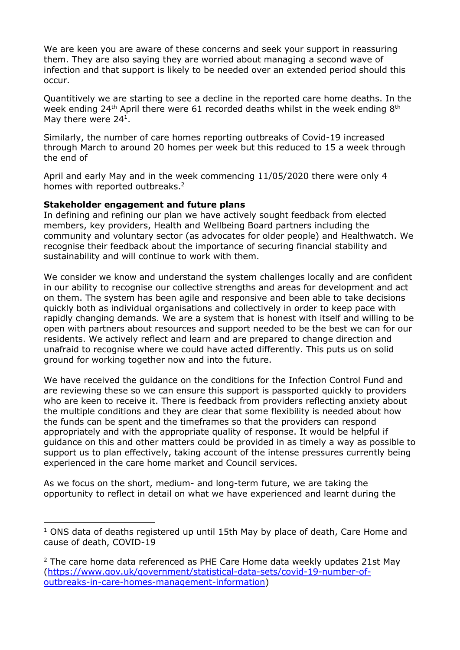We are keen you are aware of these concerns and seek your support in reassuring them. They are also saying they are worried about managing a second wave of infection and that support is likely to be needed over an extended period should this occur.

Quantitively we are starting to see a decline in the reported care home deaths. In the week ending 24<sup>th</sup> April there were 61 recorded deaths whilst in the week ending 8<sup>th</sup> May there were 24<sup>1</sup>.

Similarly, the number of care homes reporting outbreaks of Covid-19 increased through March to around 20 homes per week but this reduced to 15 a week through the end of

April and early May and in the week commencing 11/05/2020 there were only 4 homes with reported outbreaks.<sup>2</sup>

## **Stakeholder engagement and future plans**

In defining and refining our plan we have actively sought feedback from elected members, key providers, Health and Wellbeing Board partners including the community and voluntary sector (as advocates for older people) and Healthwatch. We recognise their feedback about the importance of securing financial stability and sustainability and will continue to work with them.

We consider we know and understand the system challenges locally and are confident in our ability to recognise our collective strengths and areas for development and act on them. The system has been agile and responsive and been able to take decisions quickly both as individual organisations and collectively in order to keep pace with rapidly changing demands. We are a system that is honest with itself and willing to be open with partners about resources and support needed to be the best we can for our residents. We actively reflect and learn and are prepared to change direction and unafraid to recognise where we could have acted differently. This puts us on solid ground for working together now and into the future.

We have received the guidance on the conditions for the Infection Control Fund and are reviewing these so we can ensure this support is passported quickly to providers who are keen to receive it. There is feedback from providers reflecting anxiety about the multiple conditions and they are clear that some flexibility is needed about how the funds can be spent and the timeframes so that the providers can respond appropriately and with the appropriate quality of response. It would be helpful if guidance on this and other matters could be provided in as timely a way as possible to support us to plan effectively, taking account of the intense pressures currently being experienced in the care home market and Council services.

As we focus on the short, medium- and long-term future, we are taking the opportunity to reflect in detail on what we have experienced and learnt during the

 $1$  ONS data of deaths registered up until 15th May by place of death, Care Home and cause of death, COVID-19

 $2$  The care home data referenced as PHE Care Home data weekly updates 21st May [\(https://www.gov.uk/government/statistical-data-sets/covid-19-number-of](https://www.gov.uk/government/statistical-data-sets/covid-19-number-of-outbreaks-in-care-homes-management-information)[outbreaks-in-care-homes-management-information\)](https://www.gov.uk/government/statistical-data-sets/covid-19-number-of-outbreaks-in-care-homes-management-information)